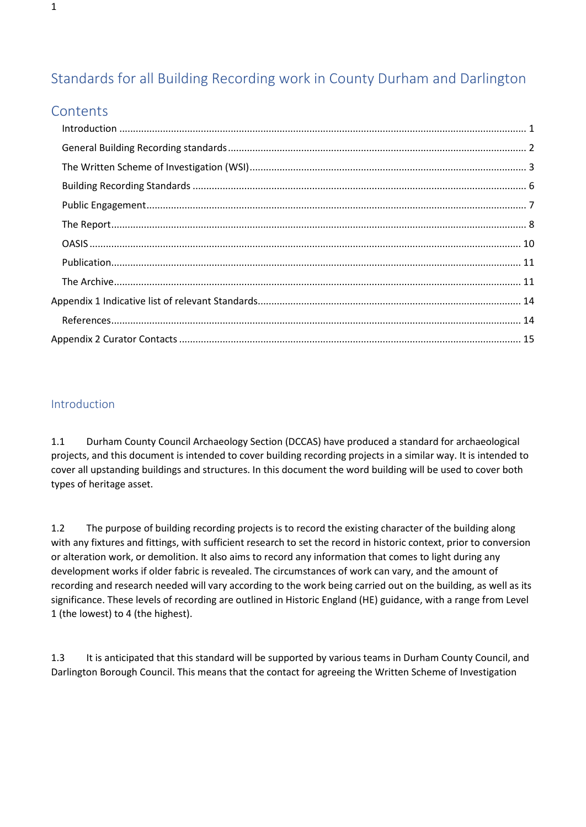# Standards for all Building Recording work in County Durham and Darlington

## **Contents**

## <span id="page-0-0"></span>Introduction

1.1 Durham County Council Archaeology Section (DCCAS) have produced a standard for archaeological projects, and this document is intended to cover building recording projects in a similar way. It is intended to cover all upstanding buildings and structures. In this document the word building will be used to cover both types of heritage asset.

1.2 The purpose of building recording projects is to record the existing character of the building along with any fixtures and fittings, with sufficient research to set the record in historic context, prior to conversion or alteration work, or demolition. It also aims to record any information that comes to light during any development works if older fabric is revealed. The circumstances of work can vary, and the amount of recording and research needed will vary according to the work being carried out on the building, as well as its significance. These levels of recording are outlined in Historic England (HE) guidance, with a range from Level 1 (the lowest) to 4 (the highest).

1.3 It is anticipated that this standard will be supported by various teams in Durham County Council, and Darlington Borough Council. This means that the contact for agreeing the Written Scheme of Investigation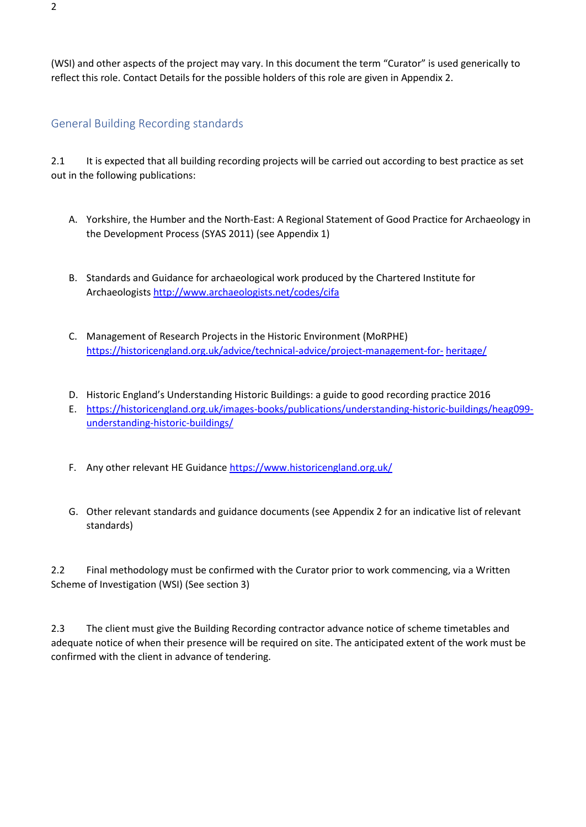(WSI) and other aspects of the project may vary. In this document the term "Curator" is used generically to reflect this role. Contact Details for the possible holders of this role are given in Appendix 2.

### <span id="page-1-0"></span>General Building Recording standards

2.1 It is expected that all building recording projects will be carried out according to best practice as set out in the following publications:

- A. Yorkshire, the Humber and the North-East: A Regional Statement of Good Practice for Archaeology in the Development Process (SYAS 2011) (see Appendix 1)
- B. Standards and Guidance for archaeological work produced by the Chartered Institute for Archaeologists<http://www.archaeologists.net/codes/cifa>
- C. Management of Research Projects in the Historic Environment (MoRPHE) [https://historicengland.org.uk/advice/technical-advice/project-management-for-](https://historicengland.org.uk/advice/technical-advice/project-management-for-heritage/) [heritage/](https://historicengland.org.uk/advice/technical-advice/project-management-for-heritage/)
- D. Historic England's Understanding Historic Buildings: a guide to good recording practice 2016
- E. [https://historicengland.org.uk/images-books/publications/understanding-historic-buildings/heag099](https://historicengland.org.uk/images-books/publications/understanding-historic-buildings/heag099-understanding-historic-buildings/) [understanding-historic-buildings/](https://historicengland.org.uk/images-books/publications/understanding-historic-buildings/heag099-understanding-historic-buildings/)
- F. Any other relevant HE Guidanc[e https://www.historicengland.org.uk/](https://www.historicengland.org.uk/)
- G. Other relevant standards and guidance documents (see Appendix 2 for an indicative list of relevant standards)

2.2 Final methodology must be confirmed with the Curator prior to work commencing, via a Written Scheme of Investigation (WSI) (See section 3)

2.3 The client must give the Building Recording contractor advance notice of scheme timetables and adequate notice of when their presence will be required on site. The anticipated extent of the work must be confirmed with the client in advance of tendering.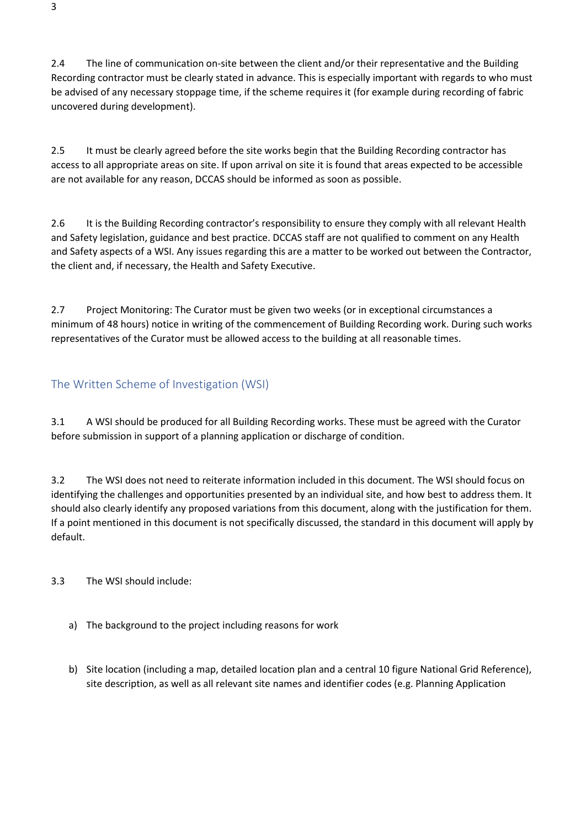2.4 The line of communication on-site between the client and/or their representative and the Building Recording contractor must be clearly stated in advance. This is especially important with regards to who must be advised of any necessary stoppage time, if the scheme requires it (for example during recording of fabric uncovered during development).

2.5 It must be clearly agreed before the site works begin that the Building Recording contractor has access to all appropriate areas on site. If upon arrival on site it is found that areas expected to be accessible are not available for any reason, DCCAS should be informed as soon as possible.

2.6 It is the Building Recording contractor's responsibility to ensure they comply with all relevant Health and Safety legislation, guidance and best practice. DCCAS staff are not qualified to comment on any Health and Safety aspects of a WSI. Any issues regarding this are a matter to be worked out between the Contractor, the client and, if necessary, the Health and Safety Executive.

2.7 Project Monitoring: The Curator must be given two weeks (or in exceptional circumstances a minimum of 48 hours) notice in writing of the commencement of Building Recording work. During such works representatives of the Curator must be allowed access to the building at all reasonable times.

## <span id="page-2-0"></span>The Written Scheme of Investigation (WSI)

3.1 A WSI should be produced for all Building Recording works. These must be agreed with the Curator before submission in support of a planning application or discharge of condition.

3.2 The WSI does not need to reiterate information included in this document. The WSI should focus on identifying the challenges and opportunities presented by an individual site, and how best to address them. It should also clearly identify any proposed variations from this document, along with the justification for them. If a point mentioned in this document is not specifically discussed, the standard in this document will apply by default.

3.3 The WSI should include:

- a) The background to the project including reasons for work
- b) Site location (including a map, detailed location plan and a central 10 figure National Grid Reference), site description, as well as all relevant site names and identifier codes (e.g. Planning Application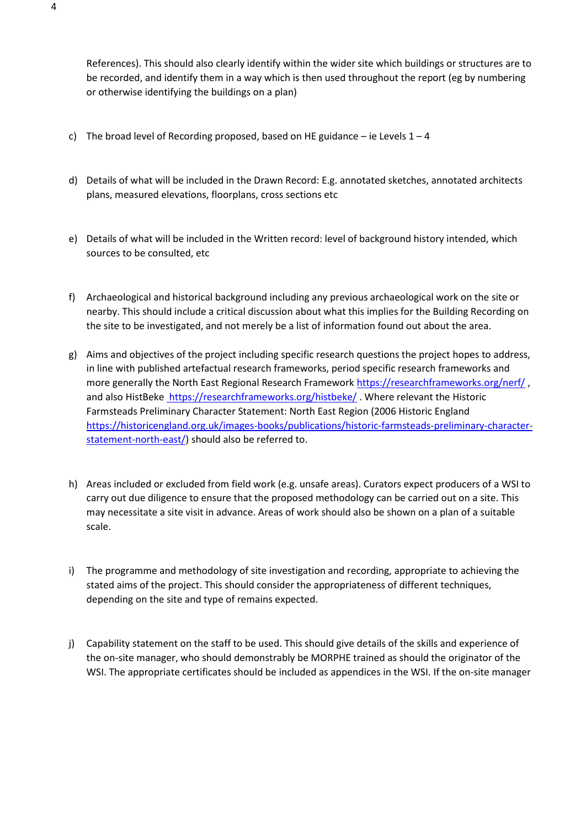References). This should also clearly identify within the wider site which buildings or structures are to be recorded, and identify them in a way which is then used throughout the report (eg by numbering or otherwise identifying the buildings on a plan)

- c) The broad level of Recording proposed, based on HE guidance ie Levels  $1 4$
- d) Details of what will be included in the Drawn Record: E.g. annotated sketches, annotated architects plans, measured elevations, floorplans, cross sections etc
- e) Details of what will be included in the Written record: level of background history intended, which sources to be consulted, etc
- f) Archaeological and historical background including any previous archaeological work on the site or nearby. This should include a critical discussion about what this implies for the Building Recording on the site to be investigated, and not merely be a list of information found out about the area.
- g) Aims and objectives of the project including specific research questions the project hopes to address, in line with published artefactual research frameworks, period specific research frameworks and more generally the North East Regional Research Framework<https://researchframeworks.org/nerf/>, and also HistBeke <https://researchframeworks.org/histbeke/>. Where relevant the Historic Farmsteads Preliminary Character Statement: North East Region (2006 Historic England [https://historicengland.org.uk/images-books/publications/historic-farmsteads-preliminary-character](https://historicengland.org.uk/images-books/publications/historic-farmsteads-preliminary-character-statement-north-east/)[statement-north-east/\)](https://historicengland.org.uk/images-books/publications/historic-farmsteads-preliminary-character-statement-north-east/) should also be referred to.
- h) Areas included or excluded from field work (e.g. unsafe areas). Curators expect producers of a WSI to carry out due diligence to ensure that the proposed methodology can be carried out on a site. This may necessitate a site visit in advance. Areas of work should also be shown on a plan of a suitable scale.
- i) The programme and methodology of site investigation and recording, appropriate to achieving the stated aims of the project. This should consider the appropriateness of different techniques, depending on the site and type of remains expected.
- j) Capability statement on the staff to be used. This should give details of the skills and experience of the on-site manager, who should demonstrably be MORPHE trained as should the originator of the WSI. The appropriate certificates should be included as appendices in the WSI. If the on-site manager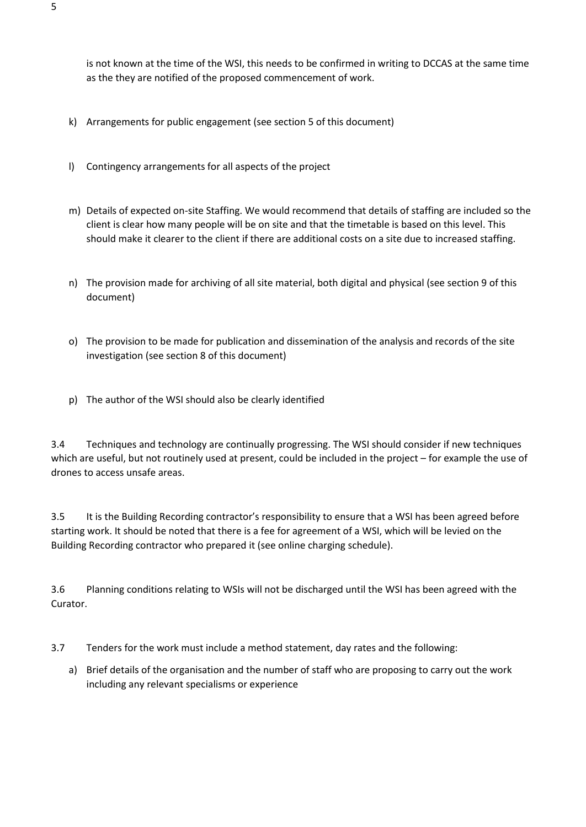is not known at the time of the WSI, this needs to be confirmed in writing to DCCAS at the same time as the they are notified of the proposed commencement of work.

- k) Arrangements for public engagement (see section 5 of this document)
- l) Contingency arrangements for all aspects of the project
- m) Details of expected on-site Staffing. We would recommend that details of staffing are included so the client is clear how many people will be on site and that the timetable is based on this level. This should make it clearer to the client if there are additional costs on a site due to increased staffing.
- n) The provision made for archiving of all site material, both digital and physical (see section 9 of this document)
- o) The provision to be made for publication and dissemination of the analysis and records of the site investigation (see section 8 of this document)
- p) The author of the WSI should also be clearly identified

3.4 Techniques and technology are continually progressing. The WSI should consider if new techniques which are useful, but not routinely used at present, could be included in the project – for example the use of drones to access unsafe areas.

3.5 It is the Building Recording contractor's responsibility to ensure that a WSI has been agreed before starting work. It should be noted that there is a fee for agreement of a WSI, which will be levied on the Building Recording contractor who prepared it (see online charging schedule).

3.6 Planning conditions relating to WSIs will not be discharged until the WSI has been agreed with the Curator.

3.7 Tenders for the work must include a method statement, day rates and the following:

a) Brief details of the organisation and the number of staff who are proposing to carry out the work including any relevant specialisms or experience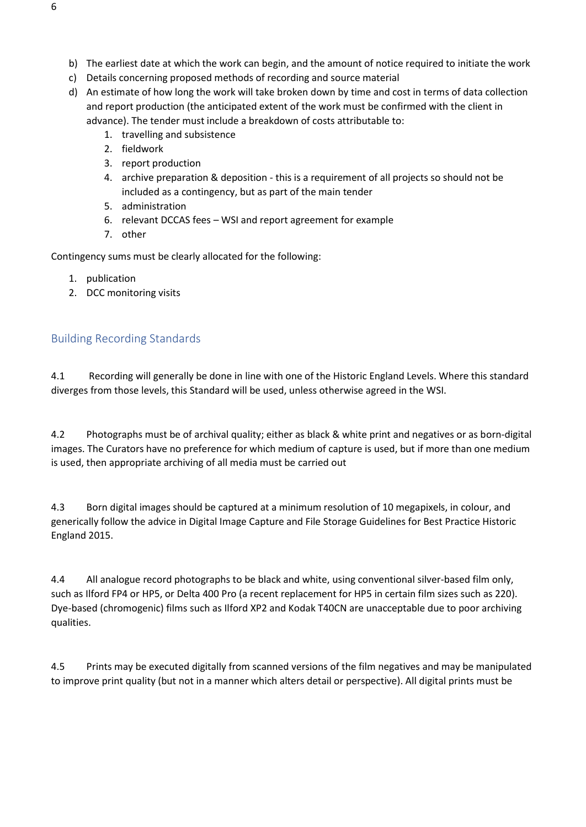- b) The earliest date at which the work can begin, and the amount of notice required to initiate the work
- c) Details concerning proposed methods of recording and source material
- d) An estimate of how long the work will take broken down by time and cost in terms of data collection and report production (the anticipated extent of the work must be confirmed with the client in advance). The tender must include a breakdown of costs attributable to:
	- 1. travelling and subsistence
	- 2. fieldwork
	- 3. report production
	- 4. archive preparation & deposition this is a requirement of all projects so should not be included as a contingency, but as part of the main tender
	- 5. administration
	- 6. relevant DCCAS fees WSI and report agreement for example
	- 7. other

Contingency sums must be clearly allocated for the following:

- 1. publication
- 2. DCC monitoring visits

#### <span id="page-5-0"></span>Building Recording Standards

4.1 Recording will generally be done in line with one of the Historic England Levels. Where this standard diverges from those levels, this Standard will be used, unless otherwise agreed in the WSI.

4.2 Photographs must be of archival quality; either as black & white print and negatives or as born-digital images. The Curators have no preference for which medium of capture is used, but if more than one medium is used, then appropriate archiving of all media must be carried out

4.3 Born digital images should be captured at a minimum resolution of 10 megapixels, in colour, and generically follow the advice in Digital Image Capture and File Storage Guidelines for Best Practice Historic England 2015.

4.4 All analogue record photographs to be black and white, using conventional silver-based film only, such as Ilford FP4 or HP5, or Delta 400 Pro (a recent replacement for HP5 in certain film sizes such as 220). Dye-based (chromogenic) films such as Ilford XP2 and Kodak T40CN are unacceptable due to poor archiving qualities.

4.5 Prints may be executed digitally from scanned versions of the film negatives and may be manipulated to improve print quality (but not in a manner which alters detail or perspective). All digital prints must be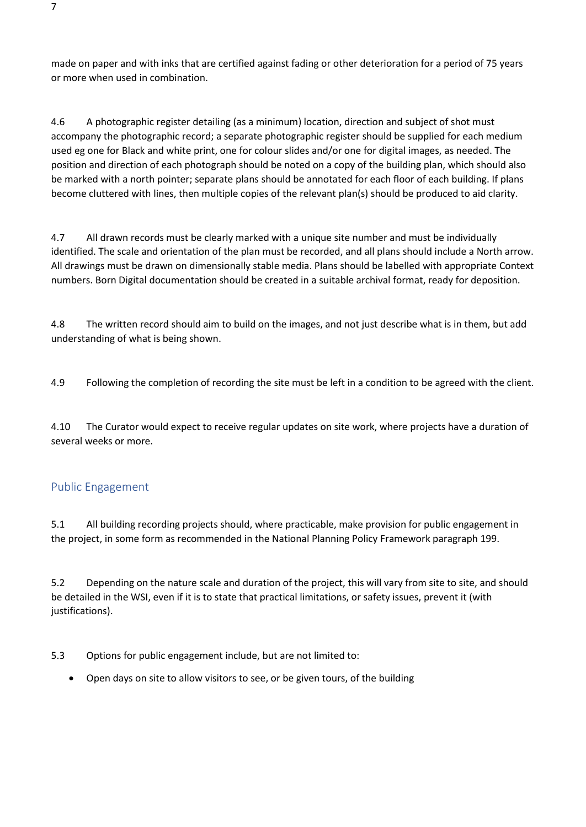made on paper and with inks that are certified against fading or other deterioration for a period of 75 years or more when used in combination.

4.6 A photographic register detailing (as a minimum) location, direction and subject of shot must accompany the photographic record; a separate photographic register should be supplied for each medium used eg one for Black and white print, one for colour slides and/or one for digital images, as needed. The position and direction of each photograph should be noted on a copy of the building plan, which should also be marked with a north pointer; separate plans should be annotated for each floor of each building. If plans become cluttered with lines, then multiple copies of the relevant plan(s) should be produced to aid clarity.

4.7 All drawn records must be clearly marked with a unique site number and must be individually identified. The scale and orientation of the plan must be recorded, and all plans should include a North arrow. All drawings must be drawn on dimensionally stable media. Plans should be labelled with appropriate Context numbers. Born Digital documentation should be created in a suitable archival format, ready for deposition.

4.8 The written record should aim to build on the images, and not just describe what is in them, but add understanding of what is being shown.

4.9 Following the completion of recording the site must be left in a condition to be agreed with the client.

4.10 The Curator would expect to receive regular updates on site work, where projects have a duration of several weeks or more.

#### <span id="page-6-0"></span>Public Engagement

5.1 All building recording projects should, where practicable, make provision for public engagement in the project, in some form as recommended in the National Planning Policy Framework paragraph 199.

5.2 Depending on the nature scale and duration of the project, this will vary from site to site, and should be detailed in the WSI, even if it is to state that practical limitations, or safety issues, prevent it (with justifications).

5.3 Options for public engagement include, but are not limited to:

• Open days on site to allow visitors to see, or be given tours, of the building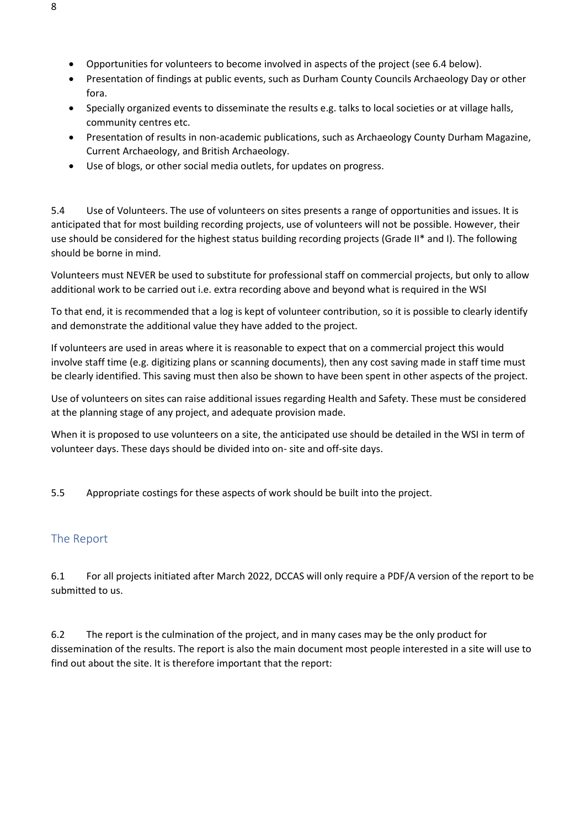- Opportunities for volunteers to become involved in aspects of the project (see 6.4 below).
- Presentation of findings at public events, such as Durham County Councils Archaeology Day or other fora.
- Specially organized events to disseminate the results e.g. talks to local societies or at village halls, community centres etc.
- Presentation of results in non-academic publications, such as Archaeology County Durham Magazine, Current Archaeology, and British Archaeology.
- Use of blogs, or other social media outlets, for updates on progress.

5.4 Use of Volunteers. The use of volunteers on sites presents a range of opportunities and issues. It is anticipated that for most building recording projects, use of volunteers will not be possible. However, their use should be considered for the highest status building recording projects (Grade II\* and I). The following should be borne in mind.

Volunteers must NEVER be used to substitute for professional staff on commercial projects, but only to allow additional work to be carried out i.e. extra recording above and beyond what is required in the WSI

To that end, it is recommended that a log is kept of volunteer contribution, so it is possible to clearly identify and demonstrate the additional value they have added to the project.

If volunteers are used in areas where it is reasonable to expect that on a commercial project this would involve staff time (e.g. digitizing plans or scanning documents), then any cost saving made in staff time must be clearly identified. This saving must then also be shown to have been spent in other aspects of the project.

Use of volunteers on sites can raise additional issues regarding Health and Safety. These must be considered at the planning stage of any project, and adequate provision made.

When it is proposed to use volunteers on a site, the anticipated use should be detailed in the WSI in term of volunteer days. These days should be divided into on- site and off-site days.

5.5 Appropriate costings for these aspects of work should be built into the project.

#### <span id="page-7-0"></span>The Report

6.1 For all projects initiated after March 2022, DCCAS will only require a PDF/A version of the report to be submitted to us.

6.2 The report is the culmination of the project, and in many cases may be the only product for dissemination of the results. The report is also the main document most people interested in a site will use to find out about the site. It is therefore important that the report: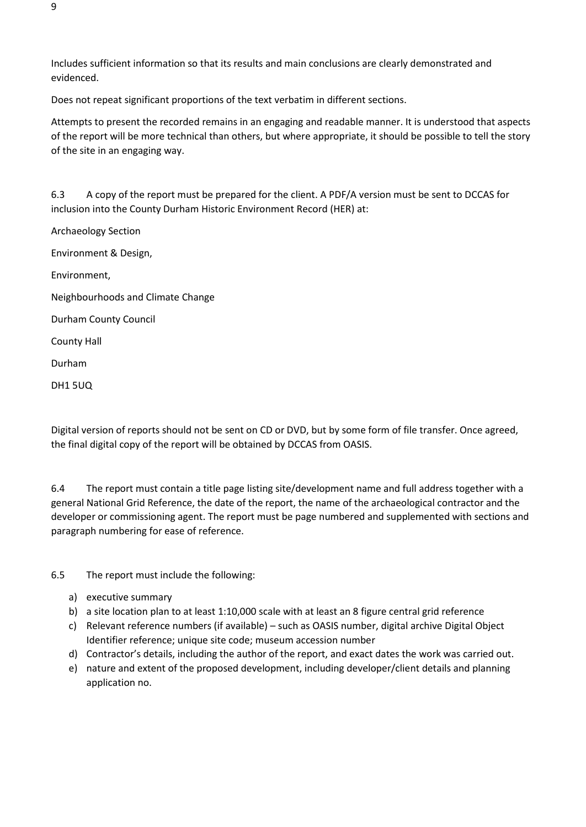Includes sufficient information so that its results and main conclusions are clearly demonstrated and evidenced.

Does not repeat significant proportions of the text verbatim in different sections.

Attempts to present the recorded remains in an engaging and readable manner. It is understood that aspects of the report will be more technical than others, but where appropriate, it should be possible to tell the story of the site in an engaging way.

6.3 A copy of the report must be prepared for the client. A PDF/A version must be sent to DCCAS for inclusion into the County Durham Historic Environment Record (HER) at:

Archaeology Section Environment & Design, Environment, Neighbourhoods and Climate Change Durham County Council County Hall Durham DH1 5UQ

Digital version of reports should not be sent on CD or DVD, but by some form of file transfer. Once agreed, the final digital copy of the report will be obtained by DCCAS from OASIS.

6.4 The report must contain a title page listing site/development name and full address together with a general National Grid Reference, the date of the report, the name of the archaeological contractor and the developer or commissioning agent. The report must be page numbered and supplemented with sections and paragraph numbering for ease of reference.

6.5 The report must include the following:

- a) executive summary
- b) a site location plan to at least 1:10,000 scale with at least an 8 figure central grid reference
- c) Relevant reference numbers (if available) such as OASIS number, digital archive Digital Object Identifier reference; unique site code; museum accession number
- d) Contractor's details, including the author of the report, and exact dates the work was carried out.
- e) nature and extent of the proposed development, including developer/client details and planning application no.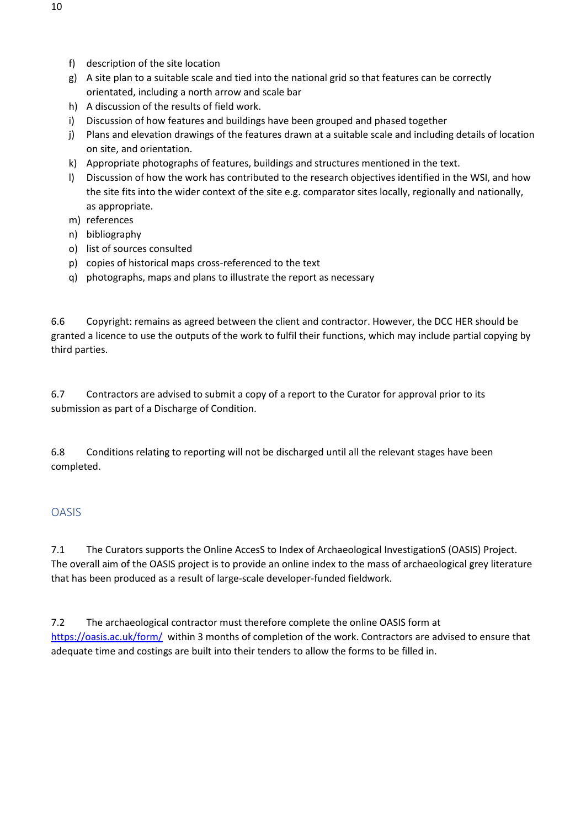- f) description of the site location
- g) A site plan to a suitable scale and tied into the national grid so that features can be correctly orientated, including a north arrow and scale bar
- h) A discussion of the results of field work.
- i) Discussion of how features and buildings have been grouped and phased together
- j) Plans and elevation drawings of the features drawn at a suitable scale and including details of location on site, and orientation.
- k) Appropriate photographs of features, buildings and structures mentioned in the text.
- l) Discussion of how the work has contributed to the research objectives identified in the WSI, and how the site fits into the wider context of the site e.g. comparator sites locally, regionally and nationally, as appropriate.
- m) references
- n) bibliography
- o) list of sources consulted
- p) copies of historical maps cross-referenced to the text
- q) photographs, maps and plans to illustrate the report as necessary

6.6 Copyright: remains as agreed between the client and contractor. However, the DCC HER should be granted a licence to use the outputs of the work to fulfil their functions, which may include partial copying by third parties.

6.7 Contractors are advised to submit a copy of a report to the Curator for approval prior to its submission as part of a Discharge of Condition.

6.8 Conditions relating to reporting will not be discharged until all the relevant stages have been completed.

#### <span id="page-9-0"></span>OASIS

7.1 The Curators supports the Online AccesS to Index of Archaeological InvestigationS (OASIS) Project. The overall aim of the OASIS project is to provide an online index to the mass of archaeological grey literature that has been produced as a result of large-scale developer-funded fieldwork.

7.2 The archaeological contractor must therefore complete the online OASIS form at [https://oasis.ac.uk/form/](https://www.google.com/url?q=https://oasis.ac.uk/form/&sa=D&ust=1539610887885000&usg=AFQjCNFH6Lphw7D7xnLkXhCcToGhyQcb5Q) within 3 months of completion of the work. Contractors are advised to ensure that adequate time and costings are built into their tenders to allow the forms to be filled in.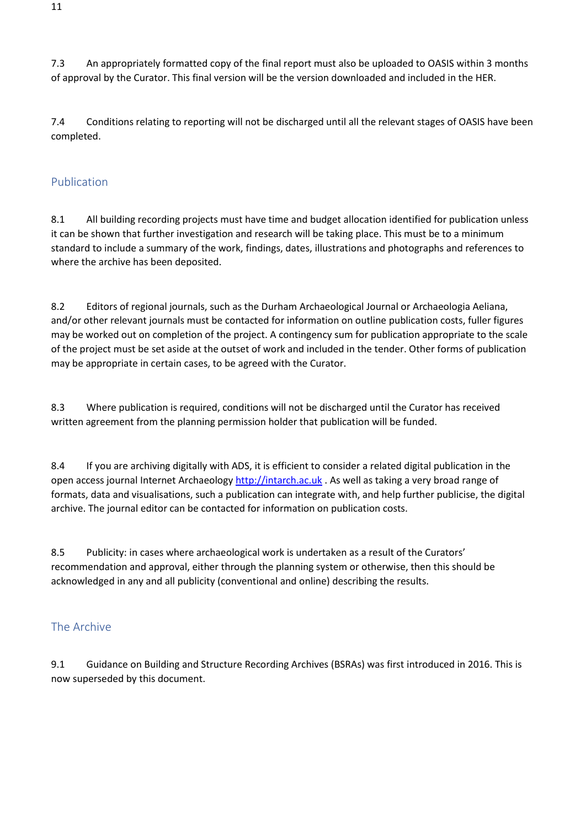7.3 An appropriately formatted copy of the final report must also be uploaded to OASIS within 3 months of approval by the Curator. This final version will be the version downloaded and included in the HER.

7.4 Conditions relating to reporting will not be discharged until all the relevant stages of OASIS have been completed.

### <span id="page-10-0"></span>Publication

8.1 All building recording projects must have time and budget allocation identified for publication unless it can be shown that further investigation and research will be taking place. This must be to a minimum standard to include a summary of the work, findings, dates, illustrations and photographs and references to where the archive has been deposited.

8.2 Editors of regional journals, such as the Durham Archaeological Journal or Archaeologia Aeliana, and/or other relevant journals must be contacted for information on outline publication costs, fuller figures may be worked out on completion of the project. A contingency sum for publication appropriate to the scale of the project must be set aside at the outset of work and included in the tender. Other forms of publication may be appropriate in certain cases, to be agreed with the Curator.

8.3 Where publication is required, conditions will not be discharged until the Curator has received written agreement from the planning permission holder that publication will be funded.

8.4 If you are archiving digitally with ADS, it is efficient to consider a related digital publication in the open access journal Internet Archaeolog[y http://intarch.ac.uk](https://www.google.com/url?q=http://intarch.ac.uk&sa=D&ust=1539611118369000&usg=AFQjCNExhgemffx2BwB5v1Kotps54oW_oA) . As well as taking a very broad range of formats, data and visualisations, such a publication can integrate with, and help further publicise, the digital archive. The journal editor can be contacted for information on publication costs.

8.5 Publicity: in cases where archaeological work is undertaken as a result of the Curators' recommendation and approval, either through the planning system or otherwise, then this should be acknowledged in any and all publicity (conventional and online) describing the results.

## <span id="page-10-1"></span>The Archive

9.1 Guidance on Building and Structure Recording Archives (BSRAs) was first introduced in 2016. This is now superseded by this document.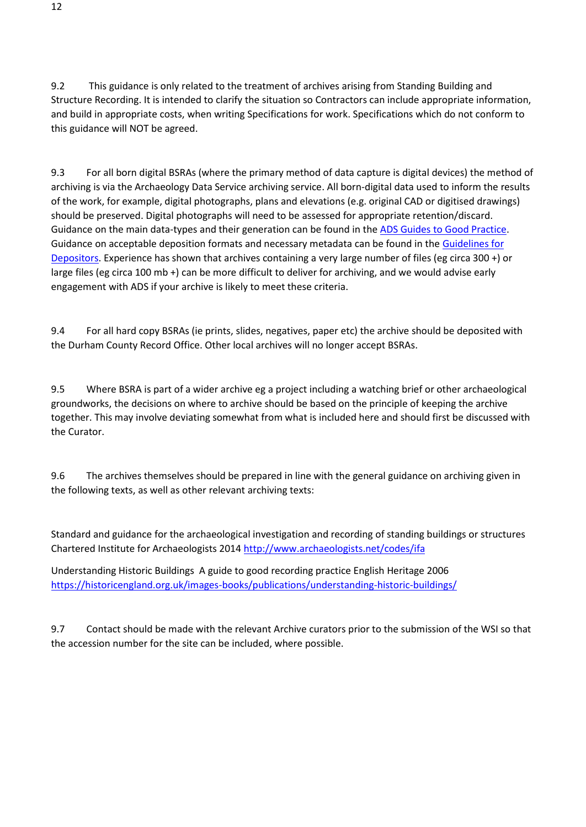9.2 This guidance is only related to the treatment of archives arising from Standing Building and Structure Recording. It is intended to clarify the situation so Contractors can include appropriate information, and build in appropriate costs, when writing Specifications for work. Specifications which do not conform to this guidance will NOT be agreed.

9.3 For all born digital BSRAs (where the primary method of data capture is digital devices) the method of archiving is via the Archaeology Data Service archiving service. All born-digital data used to inform the results of the work, for example, digital photographs, plans and elevations (e.g. original CAD or digitised drawings) should be preserved. Digital photographs will need to be assessed for appropriate retention/discard. Guidance on the main data-types and their generation can be found in th[e ADS Guides to Good Practice.](http://guides.archaeologydataservice.ac.uk/) Guidance on acceptable deposition formats and necessary metadata can be found in the Guidelines for [Depositors.](http://archaeologydataservice.ac.uk/advice/guidelinesForDepositors) Experience has shown that archives containing a very large number of files (eg circa 300 +) or large files (eg circa 100 mb +) can be more difficult to deliver for archiving, and we would advise early engagement with ADS if your archive is likely to meet these criteria.

9.4 For all hard copy BSRAs (ie prints, slides, negatives, paper etc) the archive should be deposited with the Durham County Record Office. Other local archives will no longer accept BSRAs.

9.5 Where BSRA is part of a wider archive eg a project including a watching brief or other archaeological groundworks, the decisions on where to archive should be based on the principle of keeping the archive together. This may involve deviating somewhat from what is included here and should first be discussed with the Curator.

9.6 The archives themselves should be prepared in line with the general guidance on archiving given in the following texts, as well as other relevant archiving texts:

Standard and guidance for the archaeological investigation and recording of standing buildings or structures Chartered Institute for Archaeologists 2014<http://www.archaeologists.net/codes/ifa>

Understanding Historic Buildings A guide to good recording practice English Heritage 2006 <https://historicengland.org.uk/images-books/publications/understanding-historic-buildings/>

9.7 Contact should be made with the relevant Archive curators prior to the submission of the WSI so that the accession number for the site can be included, where possible.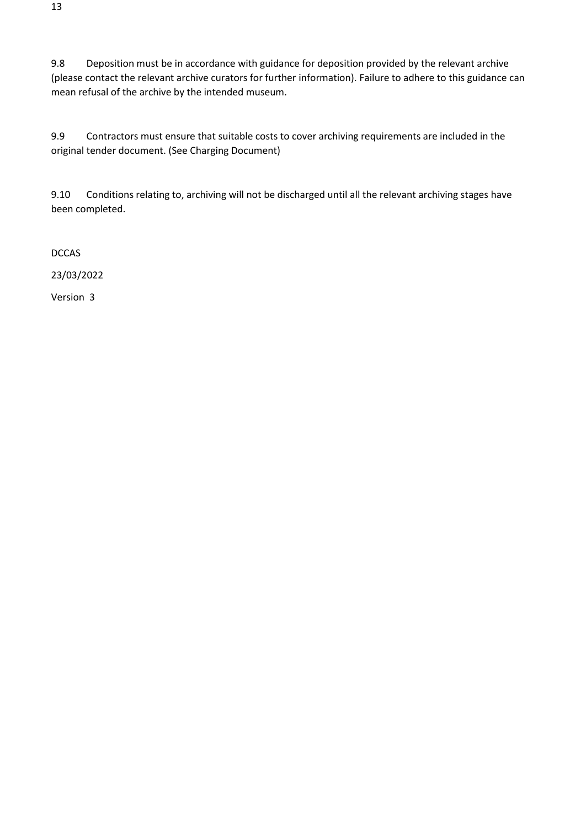9.8 Deposition must be in accordance with guidance for deposition provided by the relevant archive (please contact the relevant archive curators for further information). Failure to adhere to this guidance can mean refusal of the archive by the intended museum.

9.9 Contractors must ensure that suitable costs to cover archiving requirements are included in the original tender document. (See Charging Document)

9.10 Conditions relating to, archiving will not be discharged until all the relevant archiving stages have been completed.

DCCAS

23/03/2022

Version 3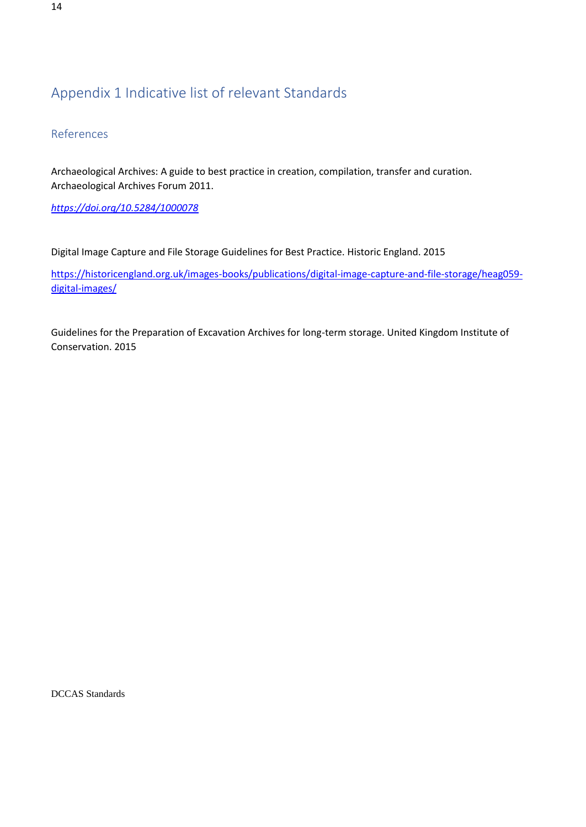## <span id="page-13-0"></span>Appendix 1 Indicative list of relevant Standards

<span id="page-13-1"></span>References

Archaeological Archives: A guide to best practice in creation, compilation, transfer and curation. Archaeological Archives Forum 2011.

*<https://doi.org/10.5284/1000078>*

Digital Image Capture and File Storage Guidelines for Best Practice. Historic England. 2015

[https://historicengland.org.uk/images-books/publications/digital-image-capture-and-file-storage/heag059](https://historicengland.org.uk/images-books/publications/digital-image-capture-and-file-storage/heag059-digital-images/) [digital-images/](https://historicengland.org.uk/images-books/publications/digital-image-capture-and-file-storage/heag059-digital-images/)

Guidelines for the Preparation of Excavation Archives for long-term storage. United Kingdom Institute of Conservation. 2015

DCCAS Standards